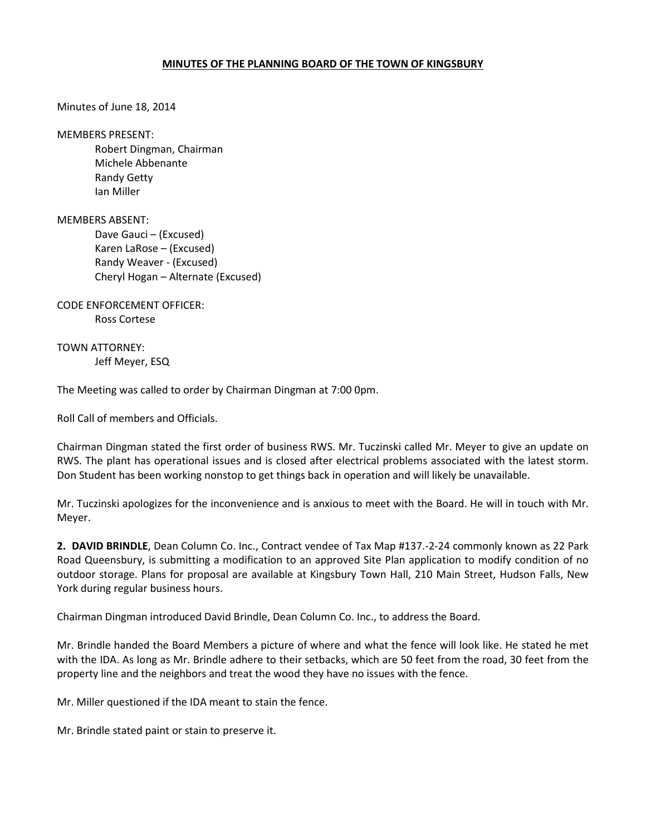## MINUTES OF THE PLANNING BOARD OF THE TOWN OF KINGSBURY

Minutes of June 18, 2014

MEMBERS PRESENT:

 Robert Dingman, Chairman Michele Abbenante Randy Getty Ian Miller

MEMBERS ABSENT:

 Dave Gauci – (Excused) Karen LaRose – (Excused) Randy Weaver - (Excused) Cheryl Hogan – Alternate (Excused)

CODE ENFORCEMENT OFFICER: Ross Cortese

TOWN ATTORNEY: Jeff Meyer, ESQ

The Meeting was called to order by Chairman Dingman at 7:00 0pm.

Roll Call of members and Officials.

Chairman Dingman stated the first order of business RWS. Mr. Tuczinski called Mr. Meyer to give an update on RWS. The plant has operational issues and is closed after electrical problems associated with the latest storm. Don Student has been working nonstop to get things back in operation and will likely be unavailable.

Mr. Tuczinski apologizes for the inconvenience and is anxious to meet with the Board. He will in touch with Mr. Meyer.

2. DAVID BRINDLE, Dean Column Co. Inc., Contract vendee of Tax Map #137.-2-24 commonly known as 22 Park Road Queensbury, is submitting a modification to an approved Site Plan application to modify condition of no outdoor storage. Plans for proposal are available at Kingsbury Town Hall, 210 Main Street, Hudson Falls, New York during regular business hours.

Chairman Dingman introduced David Brindle, Dean Column Co. Inc., to address the Board.

Mr. Brindle handed the Board Members a picture of where and what the fence will look like. He stated he met with the IDA. As long as Mr. Brindle adhere to their setbacks, which are 50 feet from the road, 30 feet from the property line and the neighbors and treat the wood they have no issues with the fence.

Mr. Miller questioned if the IDA meant to stain the fence.

Mr. Brindle stated paint or stain to preserve it.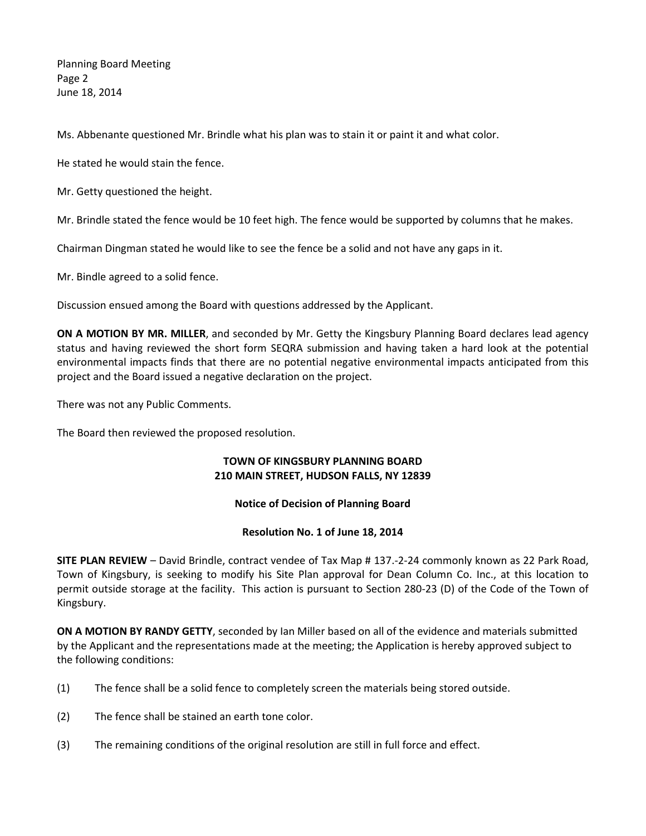Planning Board Meeting Page 2 June 18, 2014

Ms. Abbenante questioned Mr. Brindle what his plan was to stain it or paint it and what color.

He stated he would stain the fence.

Mr. Getty questioned the height.

Mr. Brindle stated the fence would be 10 feet high. The fence would be supported by columns that he makes.

Chairman Dingman stated he would like to see the fence be a solid and not have any gaps in it.

Mr. Bindle agreed to a solid fence.

Discussion ensued among the Board with questions addressed by the Applicant.

ON A MOTION BY MR. MILLER, and seconded by Mr. Getty the Kingsbury Planning Board declares lead agency status and having reviewed the short form SEQRA submission and having taken a hard look at the potential environmental impacts finds that there are no potential negative environmental impacts anticipated from this project and the Board issued a negative declaration on the project.

There was not any Public Comments.

The Board then reviewed the proposed resolution.

## TOWN OF KINGSBURY PLANNING BOARD 210 MAIN STREET, HUDSON FALLS, NY 12839

## Notice of Decision of Planning Board

## Resolution No. 1 of June 18, 2014

SITE PLAN REVIEW – David Brindle, contract vendee of Tax Map # 137.-2-24 commonly known as 22 Park Road, Town of Kingsbury, is seeking to modify his Site Plan approval for Dean Column Co. Inc., at this location to permit outside storage at the facility. This action is pursuant to Section 280-23 (D) of the Code of the Town of Kingsbury.

ON A MOTION BY RANDY GETTY, seconded by Ian Miller based on all of the evidence and materials submitted by the Applicant and the representations made at the meeting; the Application is hereby approved subject to the following conditions:

- (1) The fence shall be a solid fence to completely screen the materials being stored outside.
- (2) The fence shall be stained an earth tone color.
- (3) The remaining conditions of the original resolution are still in full force and effect.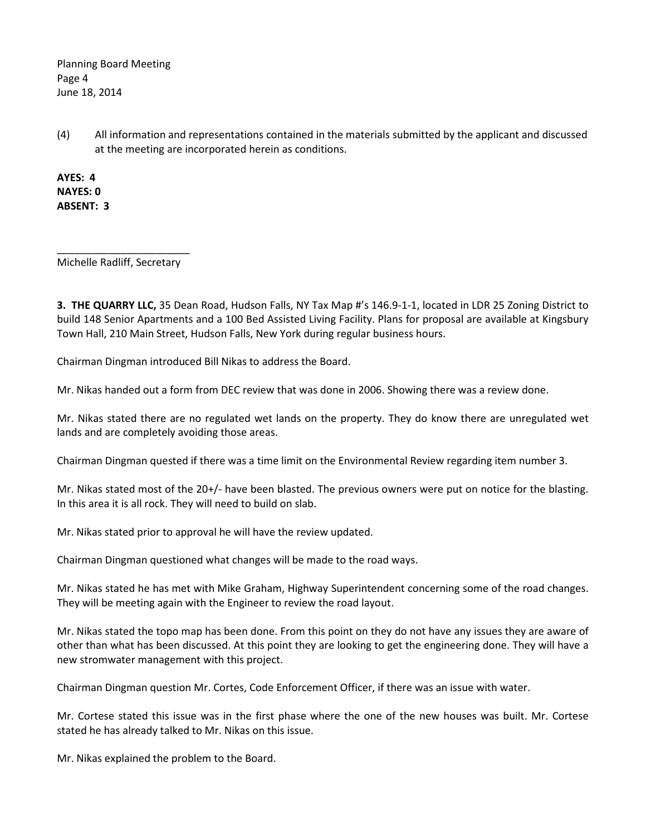Planning Board Meeting Page 4 June 18, 2014

(4) All information and representations contained in the materials submitted by the applicant and discussed at the meeting are incorporated herein as conditions.

AYES: 4 NAYES: 0 ABSENT: 3

Michelle Radliff, Secretary

3. THE QUARRY LLC, 35 Dean Road, Hudson Falls, NY Tax Map #'s 146.9-1-1, located in LDR 25 Zoning District to build 148 Senior Apartments and a 100 Bed Assisted Living Facility. Plans for proposal are available at Kingsbury Town Hall, 210 Main Street, Hudson Falls, New York during regular business hours.

Chairman Dingman introduced Bill Nikas to address the Board.

Mr. Nikas handed out a form from DEC review that was done in 2006. Showing there was a review done.

Mr. Nikas stated there are no regulated wet lands on the property. They do know there are unregulated wet lands and are completely avoiding those areas.

Chairman Dingman quested if there was a time limit on the Environmental Review regarding item number 3.

Mr. Nikas stated most of the 20+/- have been blasted. The previous owners were put on notice for the blasting. In this area it is all rock. They will need to build on slab.

Mr. Nikas stated prior to approval he will have the review updated.

Chairman Dingman questioned what changes will be made to the road ways.

Mr. Nikas stated he has met with Mike Graham, Highway Superintendent concerning some of the road changes. They will be meeting again with the Engineer to review the road layout.

Mr. Nikas stated the topo map has been done. From this point on they do not have any issues they are aware of other than what has been discussed. At this point they are looking to get the engineering done. They will have a new stromwater management with this project.

Chairman Dingman question Mr. Cortes, Code Enforcement Officer, if there was an issue with water.

Mr. Cortese stated this issue was in the first phase where the one of the new houses was built. Mr. Cortese stated he has already talked to Mr. Nikas on this issue.

Mr. Nikas explained the problem to the Board.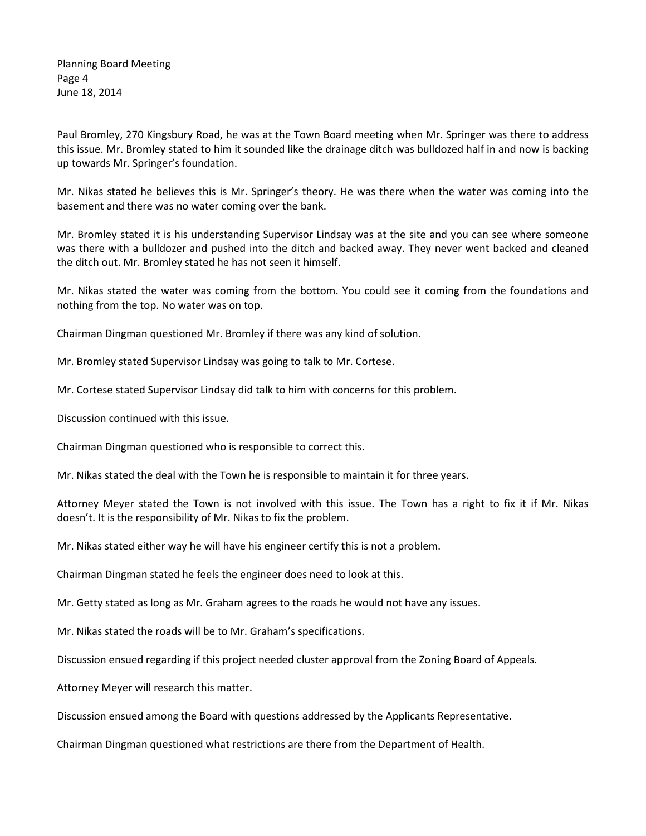Planning Board Meeting Page 4 June 18, 2014

Paul Bromley, 270 Kingsbury Road, he was at the Town Board meeting when Mr. Springer was there to address this issue. Mr. Bromley stated to him it sounded like the drainage ditch was bulldozed half in and now is backing up towards Mr. Springer's foundation.

Mr. Nikas stated he believes this is Mr. Springer's theory. He was there when the water was coming into the basement and there was no water coming over the bank.

Mr. Bromley stated it is his understanding Supervisor Lindsay was at the site and you can see where someone was there with a bulldozer and pushed into the ditch and backed away. They never went backed and cleaned the ditch out. Mr. Bromley stated he has not seen it himself.

Mr. Nikas stated the water was coming from the bottom. You could see it coming from the foundations and nothing from the top. No water was on top.

Chairman Dingman questioned Mr. Bromley if there was any kind of solution.

Mr. Bromley stated Supervisor Lindsay was going to talk to Mr. Cortese.

Mr. Cortese stated Supervisor Lindsay did talk to him with concerns for this problem.

Discussion continued with this issue.

Chairman Dingman questioned who is responsible to correct this.

Mr. Nikas stated the deal with the Town he is responsible to maintain it for three years.

Attorney Meyer stated the Town is not involved with this issue. The Town has a right to fix it if Mr. Nikas doesn't. It is the responsibility of Mr. Nikas to fix the problem.

Mr. Nikas stated either way he will have his engineer certify this is not a problem.

Chairman Dingman stated he feels the engineer does need to look at this.

Mr. Getty stated as long as Mr. Graham agrees to the roads he would not have any issues.

Mr. Nikas stated the roads will be to Mr. Graham's specifications.

Discussion ensued regarding if this project needed cluster approval from the Zoning Board of Appeals.

Attorney Meyer will research this matter.

Discussion ensued among the Board with questions addressed by the Applicants Representative.

Chairman Dingman questioned what restrictions are there from the Department of Health.